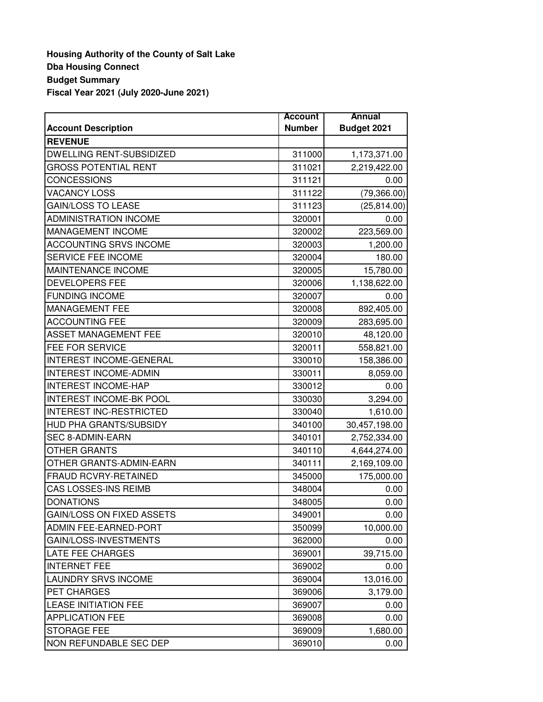## **Housing Authority of the County of Salt Lake Dba Housing Connect Budget Summary Fiscal Year 2021 (July 2020-June 2021)**

|                                  | <b>Account</b> | Annual        |
|----------------------------------|----------------|---------------|
| <b>Account Description</b>       | <b>Number</b>  | Budget 2021   |
| <b>REVENUE</b>                   |                |               |
| <b>DWELLING RENT-SUBSIDIZED</b>  | 311000         | 1,173,371.00  |
| <b>GROSS POTENTIAL RENT</b>      | 311021         | 2,219,422.00  |
| <b>CONCESSIONS</b>               | 311121         | 0.00          |
| <b>VACANCY LOSS</b>              | 311122         | (79, 366.00)  |
| <b>GAIN/LOSS TO LEASE</b>        | 311123         | (25, 814.00)  |
| <b>ADMINISTRATION INCOME</b>     | 320001         | 0.00          |
| <b>MANAGEMENT INCOME</b>         | 320002         | 223,569.00    |
| <b>ACCOUNTING SRVS INCOME</b>    | 320003         | 1,200.00      |
| SERVICE FEE INCOME               | 320004         | 180.00        |
| <b>MAINTENANCE INCOME</b>        | 320005         | 15,780.00     |
| <b>DEVELOPERS FEE</b>            | 320006         | 1,138,622.00  |
| <b>FUNDING INCOME</b>            | 320007         | 0.00          |
| <b>MANAGEMENT FEE</b>            | 320008         | 892,405.00    |
| <b>ACCOUNTING FEE</b>            | 320009         | 283,695.00    |
| <b>ASSET MANAGEMENT FEE</b>      | 320010         | 48,120.00     |
| FEE FOR SERVICE                  | 320011         | 558,821.00    |
| INTEREST INCOME-GENERAL          | 330010         | 158,386.00    |
| <b>INTEREST INCOME-ADMIN</b>     | 330011         | 8,059.00      |
| <b>INTEREST INCOME-HAP</b>       | 330012         | 0.00          |
| <b>INTEREST INCOME-BK POOL</b>   | 330030         | 3,294.00      |
| <b>INTEREST INC-RESTRICTED</b>   | 330040         | 1,610.00      |
| HUD PHA GRANTS/SUBSIDY           | 340100         | 30,457,198.00 |
| <b>SEC 8-ADMIN-EARN</b>          | 340101         | 2,752,334.00  |
| <b>OTHER GRANTS</b>              | 340110         | 4,644,274.00  |
| OTHER GRANTS-ADMIN-EARN          | 340111         | 2,169,109.00  |
| FRAUD RCVRY-RETAINED             | 345000         | 175,000.00    |
| CAS LOSSES-INS REIMB             | 348004         | 0.00          |
| <b>DONATIONS</b>                 | 348005         | 0.00          |
| <b>GAIN/LOSS ON FIXED ASSETS</b> | 349001         | 0.00          |
| ADMIN FEE-EARNED-PORT            | 350099         | 10,000.00     |
| GAIN/LOSS-INVESTMENTS            | 362000         | 0.00          |
| <b>LATE FEE CHARGES</b>          | 369001         | 39,715.00     |
| <b>INTERNET FEE</b>              | 369002         | 0.00          |
| <b>LAUNDRY SRVS INCOME</b>       | 369004         | 13,016.00     |
| <b>PET CHARGES</b>               | 369006         | 3,179.00      |
| <b>LEASE INITIATION FEE</b>      | 369007         | 0.00          |
| <b>APPLICATION FEE</b>           | 369008         | 0.00          |
| <b>STORAGE FEE</b>               | 369009         | 1,680.00      |
| NON REFUNDABLE SEC DEP           | 369010         | 0.00          |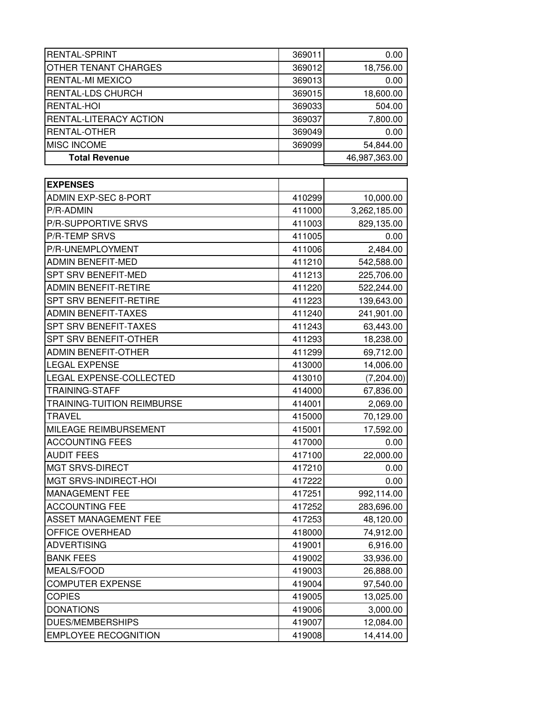| <b>RENTAL-SPRINT</b>              | 369011 | 0.00          |
|-----------------------------------|--------|---------------|
| OTHER TENANT CHARGES              | 369012 | 18,756.00     |
| <b>RENTAL-MI MEXICO</b>           | 369013 | 0.00          |
| <b>RENTAL-LDS CHURCH</b>          | 369015 | 18,600.00     |
| <b>RENTAL-HOI</b>                 | 369033 | 504.00        |
| <b>RENTAL-LITERACY ACTION</b>     | 369037 | 7,800.00      |
| <b>RENTAL-OTHER</b>               | 369049 | 0.00          |
| <b>MISC INCOME</b>                | 369099 | 54,844.00     |
| <b>Total Revenue</b>              |        | 46,987,363.00 |
|                                   |        |               |
| <b>EXPENSES</b>                   |        |               |
| <b>ADMIN EXP-SEC 8-PORT</b>       | 410299 | 10,000.00     |
| P/R-ADMIN                         | 411000 | 3,262,185.00  |
| P/R-SUPPORTIVE SRVS               | 411003 | 829,135.00    |
| <b>P/R-TEMP SRVS</b>              | 411005 | 0.00          |
| P/R-UNEMPLOYMENT                  | 411006 | 2,484.00      |
| <b>ADMIN BENEFIT-MED</b>          | 411210 | 542,588.00    |
| <b>SPT SRV BENEFIT-MED</b>        | 411213 | 225,706.00    |
| <b>ADMIN BENEFIT-RETIRE</b>       | 411220 | 522,244.00    |
| <b>SPT SRV BENEFIT-RETIRE</b>     | 411223 | 139,643.00    |
| <b>ADMIN BENEFIT-TAXES</b>        | 411240 | 241,901.00    |
| SPT SRV BENEFIT-TAXES             | 411243 | 63,443.00     |
| <b>SPT SRV BENEFIT-OTHER</b>      | 411293 | 18,238.00     |
| <b>ADMIN BENEFIT-OTHER</b>        | 411299 | 69,712.00     |
| <b>LEGAL EXPENSE</b>              | 413000 | 14,006.00     |
| <b>LEGAL EXPENSE-COLLECTED</b>    | 413010 | (7,204.00)    |
| <b>TRAINING-STAFF</b>             | 414000 | 67,836.00     |
| <b>TRAINING-TUITION REIMBURSE</b> | 414001 | 2,069.00      |
| <b>TRAVEL</b>                     | 415000 | 70,129.00     |
| MILEAGE REIMBURSEMENT             | 415001 | 17,592.00     |
| <b>ACCOUNTING FEES</b>            | 417000 | 0.00          |
| <b>AUDIT FEES</b>                 | 417100 | 22,000.00     |
| <b>MGT SRVS-DIRECT</b>            | 417210 | 0.00          |
| MGT SRVS-INDIRECT-HOI             | 417222 | 0.00          |
| MANAGEMENT FEE                    | 417251 | 992,114.00    |
| <b>ACCOUNTING FEE</b>             | 417252 | 283,696.00    |
| <b>ASSET MANAGEMENT FEE</b>       | 417253 | 48,120.00     |
| OFFICE OVERHEAD                   | 418000 | 74,912.00     |
| <b>ADVERTISING</b>                | 419001 | 6,916.00      |
| <b>BANK FEES</b>                  | 419002 | 33,936.00     |
| MEALS/FOOD                        | 419003 | 26,888.00     |
| <b>COMPUTER EXPENSE</b>           | 419004 | 97,540.00     |
| <b>COPIES</b>                     | 419005 | 13,025.00     |
| <b>DONATIONS</b>                  | 419006 | 3,000.00      |
| <b>DUES/MEMBERSHIPS</b>           | 419007 | 12,084.00     |
| <b>EMPLOYEE RECOGNITION</b>       | 419008 | 14,414.00     |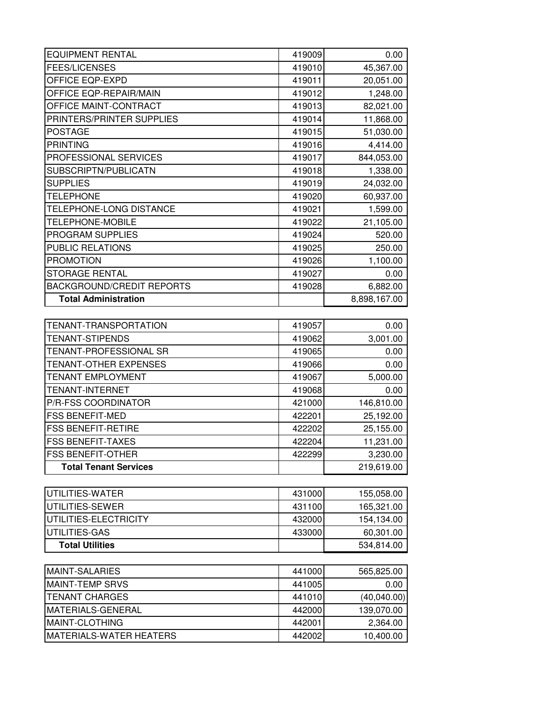| <b>EQUIPMENT RENTAL</b>          | 419009 | 0.00         |
|----------------------------------|--------|--------------|
| <b>FEES/LICENSES</b>             | 419010 | 45,367.00    |
| OFFICE EQP-EXPD                  | 419011 | 20,051.00    |
| OFFICE EQP-REPAIR/MAIN           | 419012 | 1,248.00     |
| OFFICE MAINT-CONTRACT            | 419013 | 82,021.00    |
| PRINTERS/PRINTER SUPPLIES        | 419014 | 11,868.00    |
| <b>POSTAGE</b>                   | 419015 | 51,030.00    |
| <b>PRINTING</b>                  | 419016 | 4,414.00     |
| PROFESSIONAL SERVICES            | 419017 | 844,053.00   |
| SUBSCRIPTN/PUBLICATN             | 419018 | 1,338.00     |
| <b>SUPPLIES</b>                  | 419019 | 24,032.00    |
| <b>TELEPHONE</b>                 | 419020 | 60,937.00    |
| TELEPHONE-LONG DISTANCE          | 419021 | 1,599.00     |
| TELEPHONE-MOBILE                 | 419022 | 21,105.00    |
| PROGRAM SUPPLIES                 | 419024 | 520.00       |
| <b>PUBLIC RELATIONS</b>          | 419025 | 250.00       |
| <b>PROMOTION</b>                 | 419026 | 1,100.00     |
| <b>STORAGE RENTAL</b>            | 419027 | 0.00         |
| <b>BACKGROUND/CREDIT REPORTS</b> | 419028 | 6,882.00     |
| <b>Total Administration</b>      |        | 8,898,167.00 |
|                                  |        |              |
| TENANT-TRANSPORTATION            | 419057 | 0.00         |
| <b>TENANT-STIPENDS</b>           | 419062 | 3,001.00     |
| TENANT-PROFESSIONAL SR           | 419065 | 0.00         |
| <b>TENANT-OTHER EXPENSES</b>     | 419066 | 0.00         |
| <b>TENANT EMPLOYMENT</b>         | 419067 | 5,000.00     |
| <b>TENANT-INTERNET</b>           | 419068 | 0.00         |
| P/R-FSS COORDINATOR              | 421000 | 146,810.00   |
| <b>FSS BENEFIT-MED</b>           | 422201 | 25,192.00    |
| <b>FSS BENEFIT-RETIRE</b>        | 422202 | 25,155.00    |
| <b>FSS BENEFIT-TAXES</b>         | 422204 | 11,231.00    |
| <b>FSS BENEFIT-OTHER</b>         | 422299 | 3,230.00     |
| <b>Total Tenant Services</b>     |        | 219,619.00   |
|                                  |        |              |
| UTILITIES-WATER                  | 431000 | 155,058.00   |
| UTILITIES-SEWER                  | 431100 | 165,321.00   |
| UTILITIES-ELECTRICITY            | 432000 | 154,134.00   |
| UTILITIES-GAS                    | 433000 | 60,301.00    |
| <b>Total Utilities</b>           |        | 534,814.00   |
|                                  |        |              |
| <b>MAINT-SALARIES</b>            | 441000 | 565,825.00   |
| <b>MAINT-TEMP SRVS</b>           | 441005 | 0.00         |
| <b>TENANT CHARGES</b>            | 441010 | (40,040.00)  |
| MATERIALS-GENERAL                | 442000 | 139,070.00   |
| MAINT-CLOTHING                   | 442001 | 2,364.00     |
| MATERIALS-WATER HEATERS          | 442002 | 10,400.00    |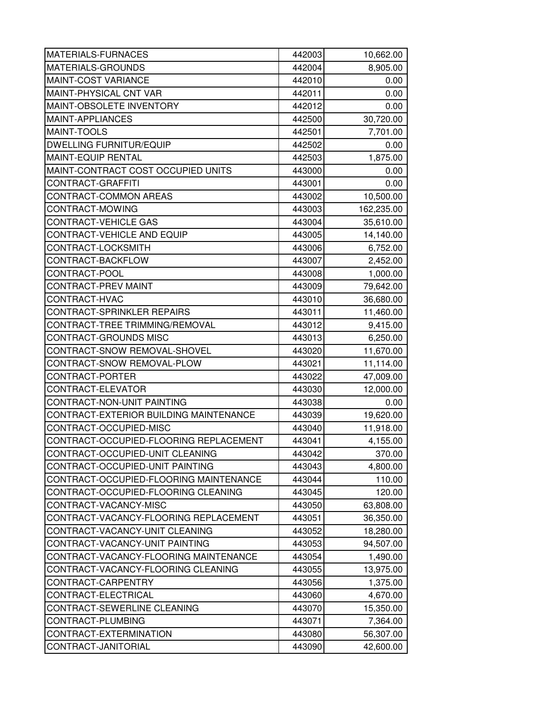| MATERIALS-FURNACES                     | 442003 | 10,662.00  |
|----------------------------------------|--------|------------|
| MATERIALS-GROUNDS                      | 442004 | 8,905.00   |
| MAINT-COST VARIANCE                    | 442010 | 0.00       |
| MAINT-PHYSICAL CNT VAR                 | 442011 | 0.00       |
| MAINT-OBSOLETE INVENTORY               | 442012 | 0.00       |
| MAINT-APPLIANCES                       | 442500 | 30,720.00  |
| MAINT-TOOLS                            | 442501 | 7,701.00   |
| <b>DWELLING FURNITUR/EQUIP</b>         | 442502 | 0.00       |
| MAINT-EQUIP RENTAL                     | 442503 | 1,875.00   |
| MAINT-CONTRACT COST OCCUPIED UNITS     | 443000 | 0.00       |
| CONTRACT-GRAFFITI                      | 443001 | 0.00       |
| CONTRACT-COMMON AREAS                  | 443002 | 10,500.00  |
| CONTRACT-MOWING                        | 443003 | 162,235.00 |
| CONTRACT-VEHICLE GAS                   | 443004 | 35,610.00  |
| CONTRACT-VEHICLE AND EQUIP             | 443005 | 14,140.00  |
| CONTRACT-LOCKSMITH                     | 443006 | 6,752.00   |
| CONTRACT-BACKFLOW                      | 443007 | 2,452.00   |
| CONTRACT-POOL                          | 443008 | 1,000.00   |
| CONTRACT-PREV MAINT                    | 443009 | 79,642.00  |
| CONTRACT-HVAC                          | 443010 | 36,680.00  |
| CONTRACT-SPRINKLER REPAIRS             | 443011 | 11,460.00  |
| CONTRACT-TREE TRIMMING/REMOVAL         | 443012 | 9,415.00   |
| CONTRACT-GROUNDS MISC                  | 443013 | 6,250.00   |
| CONTRACT-SNOW REMOVAL-SHOVEL           | 443020 | 11,670.00  |
| CONTRACT-SNOW REMOVAL-PLOW             | 443021 | 11,114.00  |
| CONTRACT-PORTER                        | 443022 | 47,009.00  |
| CONTRACT-ELEVATOR                      | 443030 | 12,000.00  |
| CONTRACT-NON-UNIT PAINTING             | 443038 | 0.00       |
| CONTRACT-EXTERIOR BUILDING MAINTENANCE | 443039 | 19,620.00  |
| CONTRACT-OCCUPIED-MISC                 | 443040 | 11,918.00  |
| CONTRACT-OCCUPIED-FLOORING REPLACEMENT | 443041 | 4,155.00   |
| CONTRACT-OCCUPIED-UNIT CLEANING        | 443042 | 370.00     |
| CONTRACT-OCCUPIED-UNIT PAINTING        | 443043 | 4,800.00   |
| CONTRACT-OCCUPIED-FLOORING MAINTENANCE | 443044 | 110.00     |
| CONTRACT-OCCUPIED-FLOORING CLEANING    | 443045 | 120.00     |
| CONTRACT-VACANCY-MISC                  | 443050 | 63,808.00  |
| CONTRACT-VACANCY-FLOORING REPLACEMENT  | 443051 | 36,350.00  |
| CONTRACT-VACANCY-UNIT CLEANING         | 443052 | 18,280.00  |
| CONTRACT-VACANCY-UNIT PAINTING         | 443053 | 94,507.00  |
| CONTRACT-VACANCY-FLOORING MAINTENANCE  | 443054 | 1,490.00   |
| CONTRACT-VACANCY-FLOORING CLEANING     | 443055 | 13,975.00  |
| CONTRACT-CARPENTRY                     | 443056 | 1,375.00   |
| CONTRACT-ELECTRICAL                    | 443060 | 4,670.00   |
| CONTRACT-SEWERLINE CLEANING            | 443070 | 15,350.00  |
| CONTRACT-PLUMBING                      | 443071 | 7,364.00   |
| CONTRACT-EXTERMINATION                 | 443080 | 56,307.00  |
| CONTRACT-JANITORIAL                    | 443090 | 42,600.00  |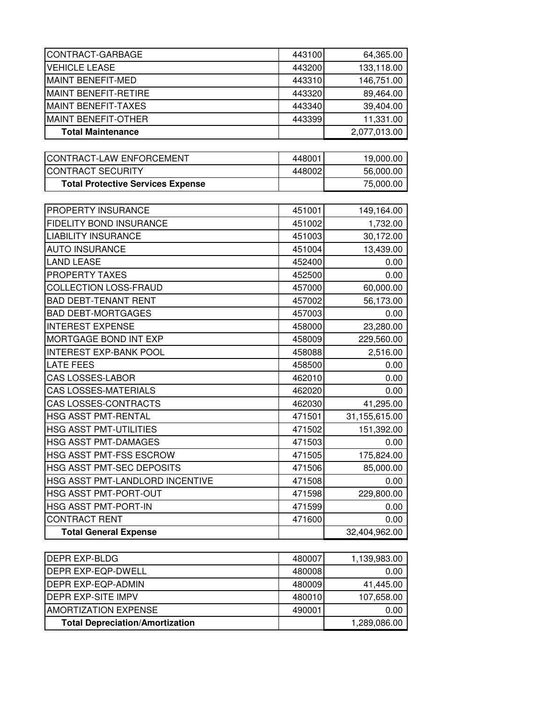| CONTRACT-GARBAGE                         | 443100 | 64,365.00     |
|------------------------------------------|--------|---------------|
| <b>VEHICLE LEASE</b>                     | 443200 | 133,118.00    |
| <b>MAINT BENEFIT-MED</b>                 | 443310 | 146,751.00    |
| <b>MAINT BENEFIT-RETIRE</b>              | 443320 | 89,464.00     |
| <b>MAINT BENEFIT-TAXES</b>               | 443340 | 39,404.00     |
| <b>MAINT BENEFIT-OTHER</b>               | 443399 | 11,331.00     |
| <b>Total Maintenance</b>                 |        | 2,077,013.00  |
|                                          |        |               |
| CONTRACT-LAW ENFORCEMENT                 | 448001 | 19,000.00     |
| <b>CONTRACT SECURITY</b>                 | 448002 | 56,000.00     |
| <b>Total Protective Services Expense</b> |        | 75,000.00     |
|                                          |        |               |
| PROPERTY INSURANCE                       | 451001 | 149,164.00    |
| <b>FIDELITY BOND INSURANCE</b>           | 451002 | 1,732.00      |
| <b>LIABILITY INSURANCE</b>               | 451003 | 30,172.00     |
| <b>AUTO INSURANCE</b>                    | 451004 | 13,439.00     |
| <b>LAND LEASE</b>                        | 452400 | 0.00          |
| PROPERTY TAXES                           | 452500 | 0.00          |
| COLLECTION LOSS-FRAUD                    | 457000 | 60,000.00     |
| <b>BAD DEBT-TENANT RENT</b>              | 457002 | 56,173.00     |
| <b>BAD DEBT-MORTGAGES</b>                | 457003 | 0.00          |
| <b>INTEREST EXPENSE</b>                  | 458000 | 23,280.00     |
| MORTGAGE BOND INT EXP                    | 458009 | 229,560.00    |
| <b>INTEREST EXP-BANK POOL</b>            | 458088 | 2,516.00      |
| <b>LATE FEES</b>                         | 458500 | 0.00          |
| <b>CAS LOSSES-LABOR</b>                  | 462010 | 0.00          |
| <b>CAS LOSSES-MATERIALS</b>              | 462020 | 0.00          |
| CAS LOSSES-CONTRACTS                     | 462030 | 41,295.00     |
| HSG ASST PMT-RENTAL                      | 471501 | 31,155,615.00 |
| <b>HSG ASST PMT-UTILITIES</b>            | 471502 | 151,392.00    |
| <b>HSG ASST PMT-DAMAGES</b>              | 471503 | 0.00          |
| <b>HSG ASST PMT-FSS ESCROW</b>           | 471505 | 175,824.00    |
| HSG ASST PMT-SEC DEPOSITS                | 471506 | 85,000.00     |
| HSG ASST PMT-LANDLORD INCENTIVE          | 471508 | 0.00          |
| HSG ASST PMT-PORT-OUT                    | 471598 | 229,800.00    |
| HSG ASST PMT-PORT-IN                     | 471599 | 0.00          |
| <b>CONTRACT RENT</b>                     | 471600 | 0.00          |
| <b>Total General Expense</b>             |        | 32,404,962.00 |
| DEPP EYP BLDG                            | 180007 |               |
|                                          |        | 1,120,083,00  |

| <b>Total Depreciation/Amortization</b> |        | 1,289,086.00 |
|----------------------------------------|--------|--------------|
| <b>JAMORTIZATION EXPENSE</b>           | 490001 | 0.00         |
| <b>IDEPR EXP-SITE IMPV</b>             | 480010 | 107,658.00   |
| <b>IDEPR EXP-EQP-ADMIN</b>             | 480009 | 41.445.00    |
| <b>IDEPR EXP-EQP-DWELL</b>             | 480008 | 0.00         |
| <b>DEPR EXP-BLDG</b>                   | 480007 | 1,139,983.00 |